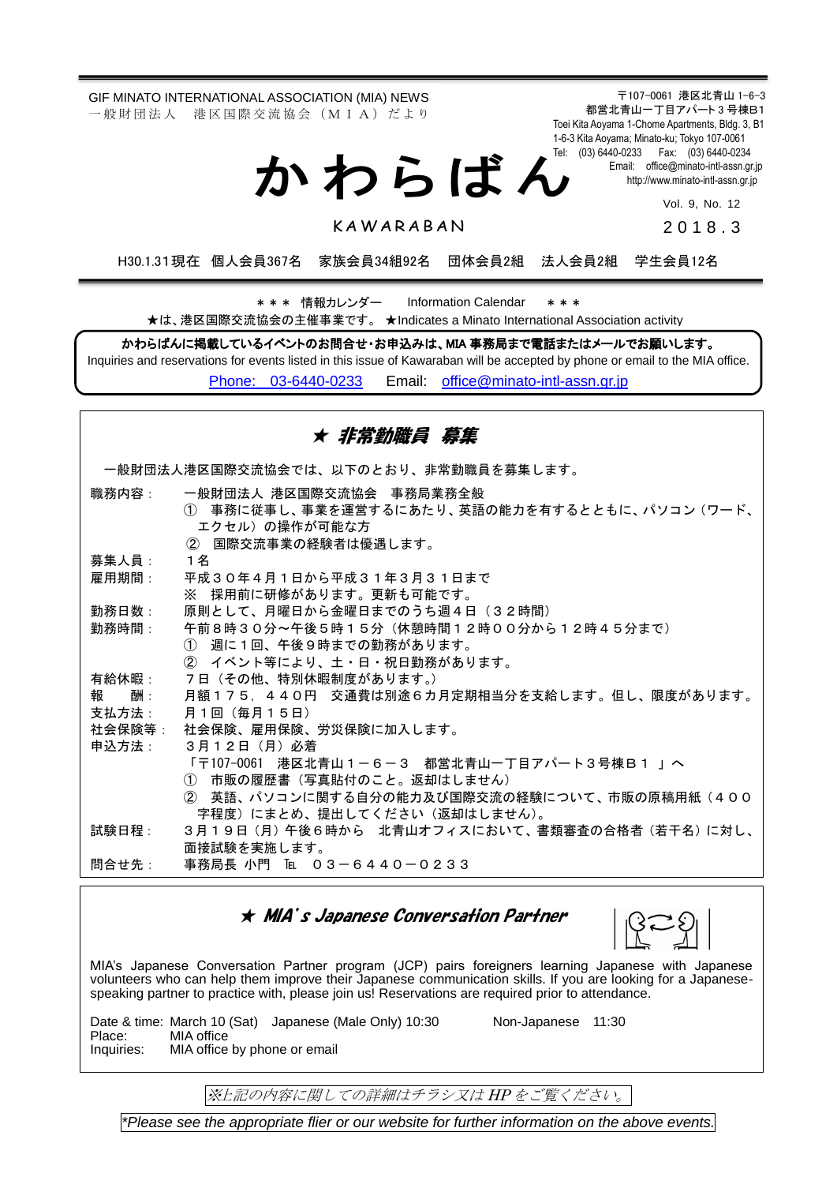GIF MINATO INTERNATIONAL ASSOCIATION (MIA) NEWS 一 般 財 団 法 人 港 区 国 際 交 流 協 会 (M I A) だ よ り

か わ ら ば ん

〒107-0061 港区北青山 1-6-3 都営北青山一丁目アパート 3 号棟B1 Toei Kita Aoyama 1-Chome Apartments, Bldg. 3, B1 1-6-3 Kita Aoyama; Minato-ku; Tokyo 107-0061 Tel: (03) 6440-0233 Fax: (03) 6440-0234 Email: [office@minato-intl-assn.gr.jp](mailto:office@minato-intl-assn.gr.jp) [http://www.minato-intl-assn.gr.jp](http://www.minato-intl-assn.gr.jp/)

Vol. 9, No. 12

**KAWARABAN** 

201 8 . 3

H30.1.31現在 個人会員367名 家族会員34組92名 団体会員2組 法人会員2組 学生会員12名

\* \* \* 情報カレンダー Information Calendar \* \* \* ★は、港区国際交流協会の主催事業です。 ★Indicates a Minato International Association activity

かわらばんに掲載しているイベントのお問合せ・お申込みは、MIA 事務局まで電話またはメールでお願いします。 Inquiries and reservations for events listed in this issue of Kawaraban will be accepted by phone or email to the MIA office. [Phone: 03-6440-0233](mailto:Phone:%20%2003-6440-0233) Email: [office@minato-intl-assn.gr.jp](mailto:office@minato-intl-assn.gr.jp)

| ★ 非常勤職員 募集                           |                                                    |  |
|--------------------------------------|----------------------------------------------------|--|
| 一般財団法人港区国際交流協会では、以下のとおり、非常勤職員を募集します。 |                                                    |  |
| 職務内容:                                | 一般財団法人 港区国際交流協会 事務局業務全般                            |  |
|                                      | (1) 事務に従事し、 事業を運営するにあたり、 英語の能力を有するとともに、 パソコン (ワード、 |  |
|                                      | エクセル)の操作が可能な方<br>② 国際交流事業の経験者は優遇します。               |  |
| 募集人員:                                | 1 名                                                |  |
| 雇用期間:                                | 平成30年4月1日から平成31年3月31日まで                            |  |
|                                      | ※ 採用前に研修があります。更新も可能です。                             |  |
| 勤務日数:                                | 原則として、月曜日から金曜日までのうち週4日(32時間)                       |  |
| 勤務時間:                                | 午前8時30分~午後5時15分(休憩時間12時00分から12時45分まで)              |  |
|                                      | ① 调に1回、午後9時までの勤務があります。                             |  |
|                                      | ② イベント等により、土・日・祝日勤務があります。                          |  |
| 有給休暇:                                | 7日 (その他、特別休暇制度があります。)                              |  |
| 酬:<br>報                              | 月額175,440円 交通費は別途6カ月定期相当分を支給します。但し、限度があります。        |  |
| 支払方法:                                | 月1回(毎月15日)                                         |  |
| 申込方法:                                | 社会保険等: 社会保険、雇用保険、労災保険に加入します。<br>3月12日(月)必着         |  |
|                                      | 「〒107-0061 港区北青山1-6-3 都営北青山一丁目アパート3号棟B1 」へ         |  |
|                                      | ① 市販の履歴書(写真貼付のこと。返却はしません)                          |  |
|                                      | ② 英語、パソコンに関する自分の能力及び国際交流の経験について、市販の原稿用紙(400        |  |
|                                      | 字程度)にまとめ、提出してください(返却はしません)。                        |  |
| 試験日程:                                | 3月19日(月)午後6時から 北青山オフィスにおいて、書類審査の合格者(若干名)に対し、       |  |
|                                      | 面接試験を実施します。                                        |  |
| 問合せ先:                                | 事務局長 小門 [��] 03-6440-0233                          |  |

#### ★ MIA's Japanese Conversation Partner

MIA's Japanese Conversation Partner program (JCP) pairs foreigners learning Japanese with Japanese volunteers who can help them improve their Japanese communication skills. If you are looking for a Japanesespeaking partner to practice with, please join us! Reservations are required prior to attendance.

Date & time: March 10 (Sat) Japanese (Male Only) 10:30 Non-Japanese 11:30<br>Place: MIA office Place: MIA office<br>Inquiries: MIA office MIA office by phone or email

※上記の内容に関しての詳細はチラシ又は HP をご覧ください。

*\*Please see the appropriate flier or our website for further information on the above events.*